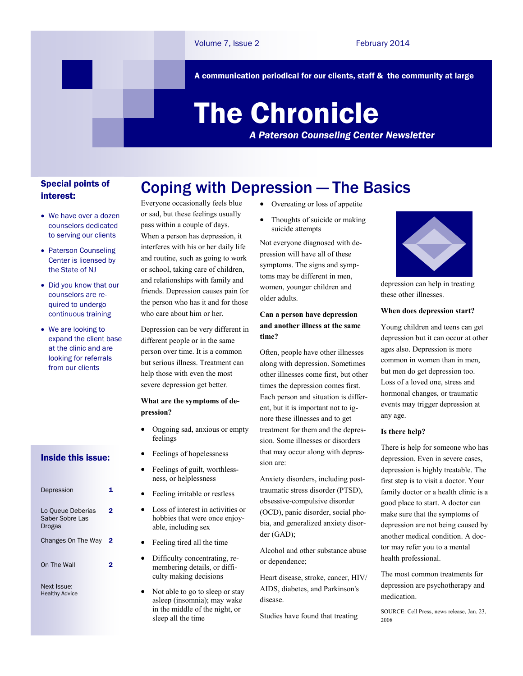A communication periodical for our clients, staff & the community at large

# The Chronicle

Coping with Depression — The Basics

*A Paterson Counseling Center Newsletter*

## Special points of interest:

- We have over a dozen counselors dedicated to serving our clients
- Paterson Counseling Center is licensed by the State of NJ
- Did you know that our counselors are required to undergo continuous training
- We are looking to expand the client base at the clinic and are looking for referrals from our clients

#### Inside this issue:

| Depression                                            |   |
|-------------------------------------------------------|---|
| Lo Queue Deberias<br>Saber Sobre Las<br><b>Drogas</b> | 2 |
| Changes On The Way                                    | 2 |
| On The Wall                                           |   |
| Next Issue:<br><b>Healthy Advice</b>                  |   |

## Everyone occasionally feels blue or sad, but these feelings usually pass within a couple of days. When a person has depression, it interferes with his or her daily life and routine, such as going to work or school, taking care of children, and relationships with family and friends. Depression causes pain for the person who has it and for those who care about him or her.

Depression can be very different in different people or in the same person over time. It is a common but serious illness. Treatment can help those with even the most severe depression get better.

### **What are the symptoms of depression?**

- Ongoing sad, anxious or empty feelings
- Feelings of hopelessness
- Feelings of guilt, worthlessness, or helplessness
- Feeling irritable or restless
- Loss of interest in activities or hobbies that were once enjoyable, including sex
- Feeling tired all the time
- Difficulty concentrating, remembering details, or difficulty making decisions
- Not able to go to sleep or stay asleep (insomnia); may wake in the middle of the night, or sleep all the time
- Overeating or loss of appetite
- Thoughts of suicide or making suicide attempts

Not everyone diagnosed with depression will have all of these symptoms. The signs and symptoms may be different in men, women, younger children and older adults.

## **Can a person have depression and another illness at the same time?**

Often, people have other illnesses along with depression. Sometimes other illnesses come first, but other times the depression comes first. Each person and situation is different, but it is important not to ignore these illnesses and to get treatment for them and the depression. Some illnesses or disorders that may occur along with depression are:

Anxiety disorders, including posttraumatic stress disorder (PTSD), obsessive-compulsive disorder (OCD), panic disorder, social phobia, and generalized anxiety disorder (GAD);

Alcohol and other substance abuse or dependence;

Heart disease, stroke, cancer, HIV/ AIDS, diabetes, and Parkinson's disease.

Studies have found that treating



depression can help in treating these other illnesses.

#### **When does depression start?**

Young children and teens can get depression but it can occur at other ages also. Depression is more common in women than in men, but men do get depression too. Loss of a loved one, stress and hormonal changes, or traumatic events may trigger depression at any age.

#### **Is there help?**

There is help for someone who has depression. Even in severe cases, depression is highly treatable. The first step is to visit a doctor. Your family doctor or a health clinic is a good place to start. A doctor can make sure that the symptoms of depression are not being caused by another medical condition. A doctor may refer you to a mental health professional.

The most common treatments for depression are psychotherapy and medication.

SOURCE: Cell Press, news release, Jan. 23, 2008